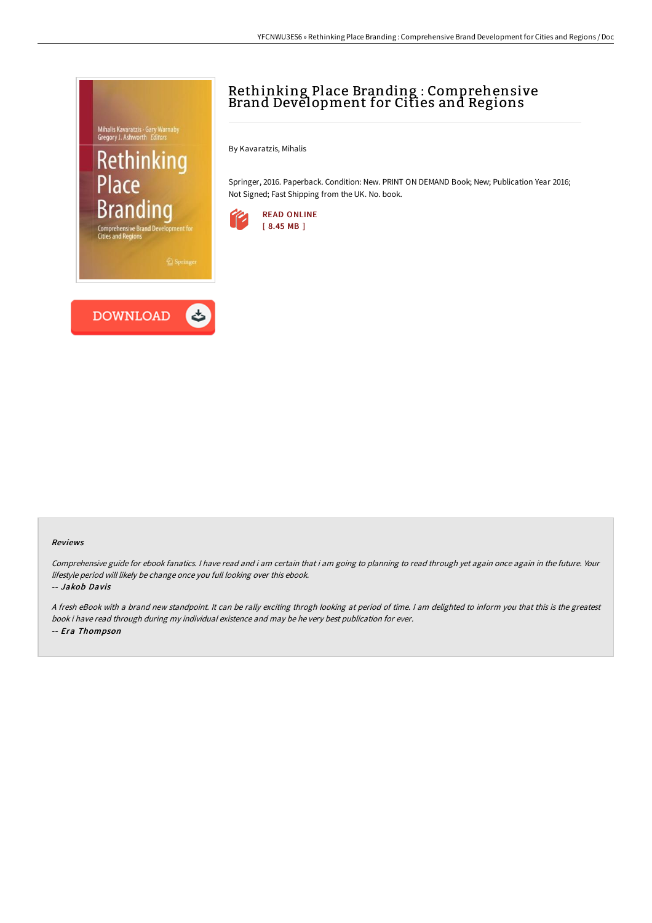# Mihalis Kavaratzis · Gary Warnaby<br>Gregory J. Ashworth *Editors* Rethinking Place **Brandino**



# Rethinking Place Branding : Comprehensive Brand Development for Cities and Regions

By Kavaratzis, Mihalis

Springer, 2016. Paperback. Condition: New. PRINT ON DEMAND Book; New; Publication Year 2016; Not Signed; Fast Shipping from the UK. No. book.



#### Reviews

Comprehensive guide for ebook fanatics. I have read and i am certain that i am going to planning to read through yet again once again in the future. Your lifestyle period will likely be change once you full looking over this ebook.

-- Jakob Davis

<sup>A</sup> fresh eBook with <sup>a</sup> brand new standpoint. It can be rally exciting throgh looking at period of time. <sup>I</sup> am delighted to inform you that this is the greatest book i have read through during my individual existence and may be he very best publication for ever. -- Era Thompson